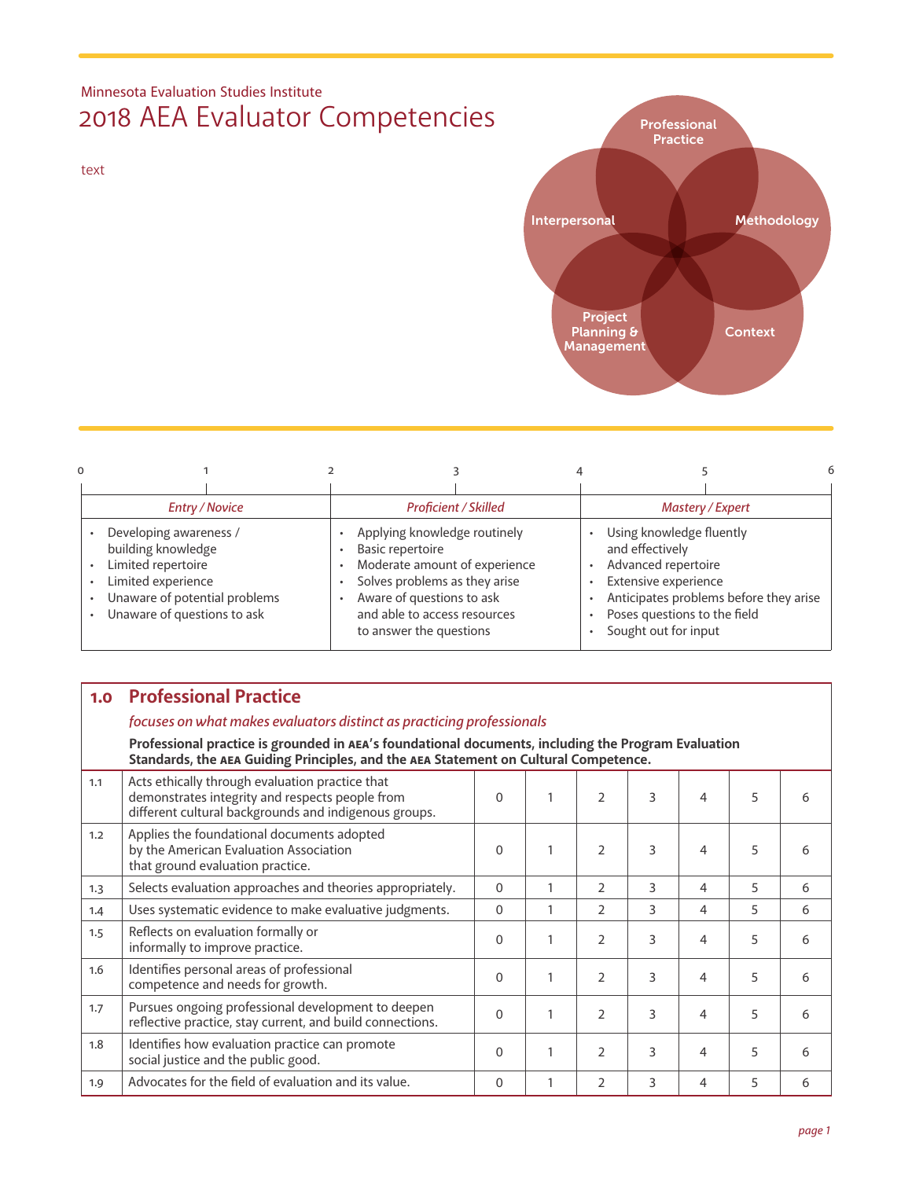# Minnesota Evaluation Studies Institute 2018 AEA Evaluator Competencies

text



| <b>Entry / Novice</b>                                                                                                                                    |                                                                                                                                                                                                            | <b>Proficient / Skilled</b> | Mastery / Expert                                                                                                                                   |                                        |  |  |  |  |
|----------------------------------------------------------------------------------------------------------------------------------------------------------|------------------------------------------------------------------------------------------------------------------------------------------------------------------------------------------------------------|-----------------------------|----------------------------------------------------------------------------------------------------------------------------------------------------|----------------------------------------|--|--|--|--|
| Developing awareness /<br>building knowledge<br>Limited repertoire<br>Limited experience<br>Unaware of potential problems<br>Unaware of questions to ask | Applying knowledge routinely<br>Basic repertoire<br>Moderate amount of experience<br>Solves problems as they arise<br>Aware of questions to ask<br>and able to access resources<br>to answer the questions |                             | Using knowledge fluently<br>and effectively<br>Advanced repertoire<br>Extensive experience<br>Poses questions to the field<br>Sought out for input | Anticipates problems before they arise |  |  |  |  |

## **1.0 Professional Practice**

#### *focuses on what makes evaluators distinct as practicing professionals*

**Professional practice is grounded in AEA's foundational documents, including the Program Evaluation Standards, the AEA Guiding Principles, and the AEA Statement on Cultural Competence.**

| 1.1 | Acts ethically through evaluation practice that<br>demonstrates integrity and respects people from<br>different cultural backgrounds and indigenous groups. | $\Omega$ | $\overline{2}$ | 3 | 4 | 5 |   |
|-----|-------------------------------------------------------------------------------------------------------------------------------------------------------------|----------|----------------|---|---|---|---|
| 1.2 | Applies the foundational documents adopted<br>by the American Evaluation Association<br>that ground evaluation practice.                                    | $\Omega$ | $\mathcal{P}$  | 3 | 4 | 5 |   |
| 1.3 | Selects evaluation approaches and theories appropriately.                                                                                                   | $\Omega$ | $\mathcal{P}$  | 3 | 4 | 5 | 6 |
| 1.4 | Uses systematic evidence to make evaluative judgments.                                                                                                      | $\Omega$ | 2              | 3 | 4 | 5 | 6 |
| 1.5 | Reflects on evaluation formally or<br>informally to improve practice.                                                                                       | $\Omega$ | $\mathfrak{D}$ | 3 | 4 | 5 | 6 |
| 1.6 | Identifies personal areas of professional<br>competence and needs for growth.                                                                               | $\Omega$ | 2              | 3 | 4 | 5 | 6 |
| 1.7 | Pursues ongoing professional development to deepen<br>reflective practice, stay current, and build connections.                                             | $\Omega$ | $\mathcal{P}$  | 3 | 4 | 5 | 6 |
| 1.8 | Identifies how evaluation practice can promote<br>social justice and the public good.                                                                       | $\Omega$ | $\mathfrak{D}$ | ς | 4 | 5 | 6 |
| 1.9 | Advocates for the field of evaluation and its value.                                                                                                        | $\Omega$ | $\overline{2}$ | 3 | 4 | 5 | 6 |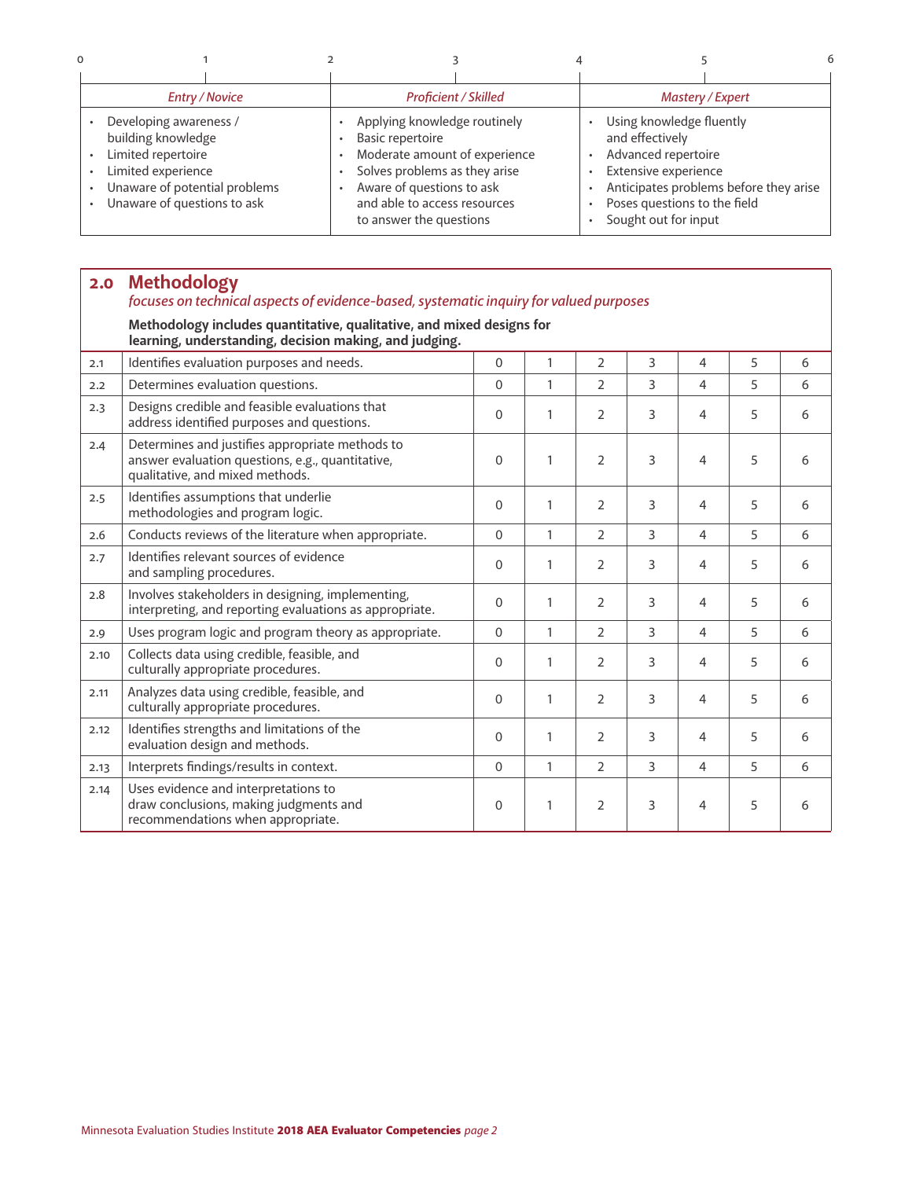| 0                                                                                                                                                                                               |                                                                                                                                                                                                                   |                                                                                                                                                                                              |  |  |  |  |
|-------------------------------------------------------------------------------------------------------------------------------------------------------------------------------------------------|-------------------------------------------------------------------------------------------------------------------------------------------------------------------------------------------------------------------|----------------------------------------------------------------------------------------------------------------------------------------------------------------------------------------------|--|--|--|--|
|                                                                                                                                                                                                 |                                                                                                                                                                                                                   |                                                                                                                                                                                              |  |  |  |  |
| <b>Entry / Novice</b>                                                                                                                                                                           | <b>Proficient / Skilled</b>                                                                                                                                                                                       | Mastery / Expert                                                                                                                                                                             |  |  |  |  |
| Developing awareness /<br>building knowledge<br>Limited repertoire<br>$\bullet$<br>Limited experience<br>$\bullet$<br>Unaware of potential problems<br>Unaware of questions to ask<br>$\bullet$ | Applying knowledge routinely<br><b>Basic repertoire</b><br>Moderate amount of experience<br>Solves problems as they arise<br>Aware of questions to ask<br>and able to access resources<br>to answer the questions | Using knowledge fluently<br>and effectively<br>Advanced repertoire<br>Extensive experience<br>Anticipates problems before they arise<br>Poses questions to the field<br>Sought out for input |  |  |  |  |

| 2.0  | <b>Methodology</b><br>focuses on technical aspects of evidence-based, systematic inquiry for valued purposes                           |                |              |                |   |                |   |   |  |  |
|------|----------------------------------------------------------------------------------------------------------------------------------------|----------------|--------------|----------------|---|----------------|---|---|--|--|
|      | Methodology includes quantitative, qualitative, and mixed designs for<br>learning, understanding, decision making, and judging.        |                |              |                |   |                |   |   |  |  |
| 2.1  | Identifies evaluation purposes and needs.                                                                                              | $\Omega$       | $\mathbf{1}$ | $\overline{2}$ | 3 | $\overline{4}$ | 5 | 6 |  |  |
| 2.2  | Determines evaluation questions.                                                                                                       | $\Omega$       | 1            | 2              | 3 | 4              | 5 | 6 |  |  |
| 2.3  | Designs credible and feasible evaluations that<br>address identified purposes and questions.                                           | $\Omega$       | $\mathbf{1}$ | $\overline{2}$ | 3 | 4              | 5 | 6 |  |  |
| 2.4  | Determines and justifies appropriate methods to<br>answer evaluation questions, e.g., quantitative,<br>qualitative, and mixed methods. | $\Omega$       | $\mathbf{1}$ | $\overline{2}$ | 3 | 4              | 5 | 6 |  |  |
| 2.5  | Identifies assumptions that underlie<br>methodologies and program logic.                                                               | $\Omega$       | 1            | $\overline{2}$ | 3 | $\overline{4}$ | 5 | 6 |  |  |
| 2.6  | Conducts reviews of the literature when appropriate.                                                                                   | $\Omega$       | $\mathbf{1}$ | $\overline{2}$ | 3 | 4              | 5 | 6 |  |  |
| 2.7  | Identifies relevant sources of evidence<br>and sampling procedures.                                                                    | $\Omega$       | $\mathbf{1}$ | $\overline{2}$ | 3 | $\overline{4}$ | 5 | 6 |  |  |
| 2.8  | Involves stakeholders in designing, implementing,<br>interpreting, and reporting evaluations as appropriate.                           | $\mathbf{0}$   | $\mathbf{1}$ | $\overline{2}$ | 3 | $\overline{4}$ | 5 | 6 |  |  |
| 2.9  | Uses program logic and program theory as appropriate.                                                                                  | $\Omega$       | $\mathbf{1}$ | $\overline{2}$ | 3 | $\overline{4}$ | 5 | 6 |  |  |
| 2.10 | Collects data using credible, feasible, and<br>culturally appropriate procedures.                                                      | $\Omega$       | $\mathbf{1}$ | $\overline{2}$ | 3 | $\overline{4}$ | 5 | 6 |  |  |
| 2.11 | Analyzes data using credible, feasible, and<br>culturally appropriate procedures.                                                      | $\Omega$       | $\mathbf{1}$ | $\overline{2}$ | 3 | 4              | 5 | 6 |  |  |
| 2.12 | Identifies strengths and limitations of the<br>evaluation design and methods.                                                          | $\Omega$       | $\mathbf{1}$ | $\overline{2}$ | 3 | $\overline{4}$ | 5 | 6 |  |  |
| 2.13 | Interprets findings/results in context.                                                                                                | $\overline{0}$ | $\mathbf{1}$ | $\overline{2}$ | 3 | $\overline{4}$ | 5 | 6 |  |  |
| 2.14 | Uses evidence and interpretations to<br>draw conclusions, making judgments and<br>recommendations when appropriate.                    | $\Omega$       | $\mathbf{1}$ | $\overline{2}$ | 3 | 4              | 5 | 6 |  |  |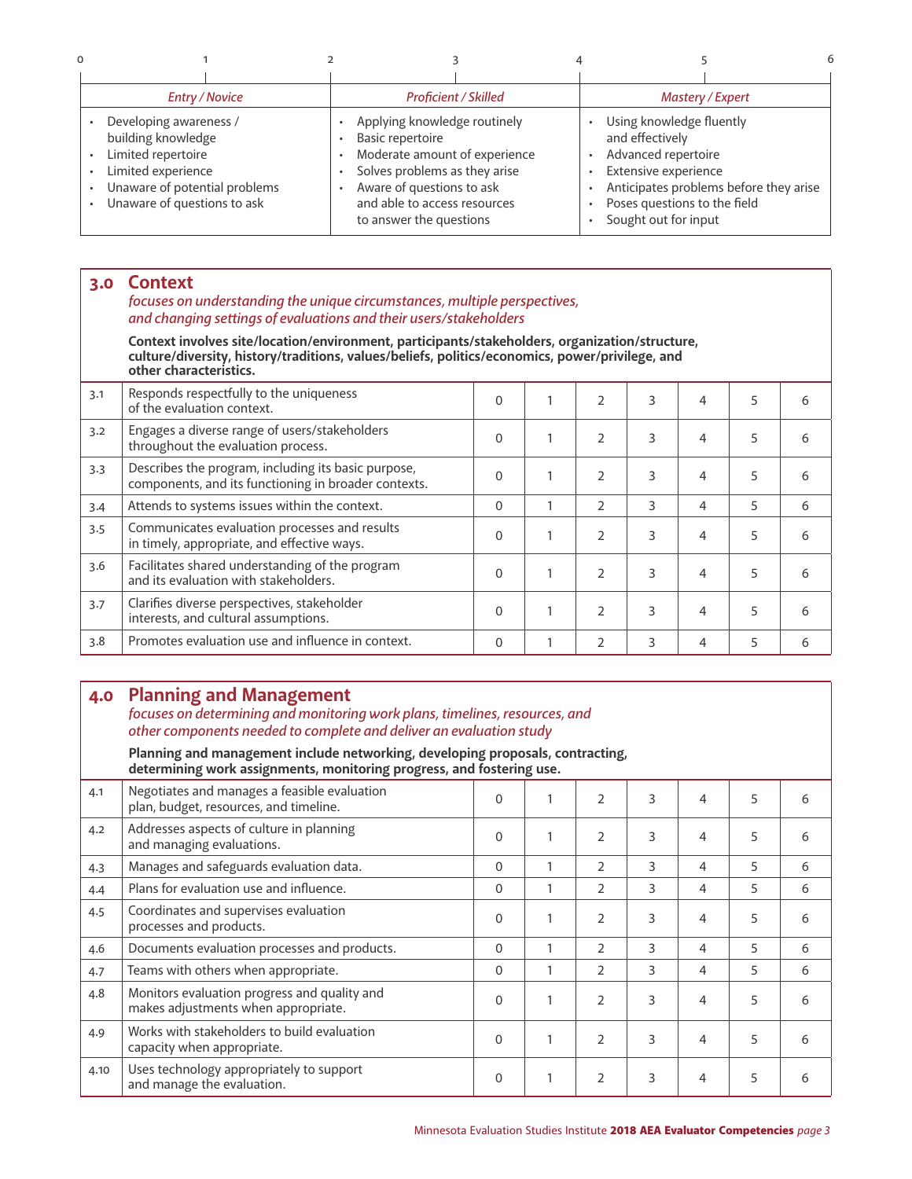| $\Omega$ |                                                                                                                                                          |                                                                                                                                                                                                                   |                             |                                                                                                                                                    |                                        |  |  |  |
|----------|----------------------------------------------------------------------------------------------------------------------------------------------------------|-------------------------------------------------------------------------------------------------------------------------------------------------------------------------------------------------------------------|-----------------------------|----------------------------------------------------------------------------------------------------------------------------------------------------|----------------------------------------|--|--|--|
|          |                                                                                                                                                          |                                                                                                                                                                                                                   |                             |                                                                                                                                                    |                                        |  |  |  |
|          | <b>Entry / Novice</b>                                                                                                                                    |                                                                                                                                                                                                                   | <b>Proficient / Skilled</b> | Mastery / Expert                                                                                                                                   |                                        |  |  |  |
| ٠        | Developing awareness /<br>building knowledge<br>Limited repertoire<br>Limited experience<br>Unaware of potential problems<br>Unaware of questions to ask | Applying knowledge routinely<br><b>Basic repertoire</b><br>Moderate amount of experience<br>Solves problems as they arise<br>Aware of questions to ask<br>and able to access resources<br>to answer the questions |                             | Using knowledge fluently<br>and effectively<br>Advanced repertoire<br>Extensive experience<br>Poses questions to the field<br>Sought out for input | Anticipates problems before they arise |  |  |  |

## **3.0 Context**

#### *focuses on understanding the unique circumstances, multiple perspectives, and changing settings of evaluations and their users/stakeholders*

**Context involves site/location/environment, participants/stakeholders, organization/structure, culture/diversity, history/traditions, values/beliefs, politics/economics, power/privilege, and other characteristics.**

| 3.1                                                                                        | Responds respectfully to the uniqueness<br>of the evaluation context.                                       | $\Omega$ |                | 3 | 4 | 5 | 6 |
|--------------------------------------------------------------------------------------------|-------------------------------------------------------------------------------------------------------------|----------|----------------|---|---|---|---|
| Engages a diverse range of users/stakeholders<br>3.2<br>throughout the evaluation process. |                                                                                                             | $\Omega$ | $\mathcal{P}$  | 3 | 4 | 5 | 6 |
| 3.3                                                                                        | Describes the program, including its basic purpose,<br>components, and its functioning in broader contexts. | $\Omega$ | $\mathcal{P}$  | 3 | 4 | 5 | 6 |
| 3.4                                                                                        | Attends to systems issues within the context.                                                               | $\Omega$ | $\mathcal{P}$  | 3 | 4 | 5 | 6 |
| 3.5                                                                                        | Communicates evaluation processes and results<br>in timely, appropriate, and effective ways.                | $\Omega$ | $\mathcal{P}$  | 3 | 4 | 5 | 6 |
| 3.6                                                                                        | Facilitates shared understanding of the program<br>and its evaluation with stakeholders.                    | $\Omega$ | $\mathfrak{D}$ | 3 | 4 | 5 | 6 |
| 3.7                                                                                        | Clarifies diverse perspectives, stakeholder<br>interests, and cultural assumptions.                         | $\Omega$ | $\mathcal{P}$  | 3 | 4 | 5 | 6 |
| 3.8                                                                                        | Promotes evaluation use and influence in context.                                                           | $\Omega$ | 2              | 3 | 4 | 5 | 6 |

### **4.0 Planning and Management**

#### *focuses on determining and monitoring work plans, timelines, resources, and other components needed to complete and deliver an evaluation study*

**Planning and management include networking, developing proposals, contracting, determining work assignments, monitoring progress, and fostering use.**

|      | actermining work assignments, monitoring progress, and rostering ase.                  |              |   |                |   |   |   |   |
|------|----------------------------------------------------------------------------------------|--------------|---|----------------|---|---|---|---|
| 4.1  | Negotiates and manages a feasible evaluation<br>plan, budget, resources, and timeline. | $\mathbf{0}$ |   | $\mathcal{P}$  | 3 | 4 | 5 | 6 |
| 4.2  | Addresses aspects of culture in planning<br>and managing evaluations.                  | $\Omega$     |   | $\overline{2}$ | 3 | 4 | 5 | 6 |
| 4.3  | Manages and safeguards evaluation data.                                                | $\mathbf{0}$ |   | $\overline{2}$ | 3 | 4 | 5 | 6 |
| 4.4  | Plans for evaluation use and influence.                                                | $\mathbf{0}$ |   | 2              | 3 | 4 | 5 | 6 |
| 4.5  | Coordinates and supervises evaluation<br>processes and products.                       | $\Omega$     |   | $\overline{2}$ | 3 | 4 | 5 | 6 |
| 4.6  | Documents evaluation processes and products.                                           | $\mathbf{0}$ |   | $\overline{2}$ | 3 | 4 | 5 | 6 |
| 4.7  | Teams with others when appropriate.                                                    | $\mathbf{0}$ | 1 | $\overline{2}$ | 3 | 4 | 5 | 6 |
| 4.8  | Monitors evaluation progress and quality and<br>makes adjustments when appropriate.    | $\mathbf{0}$ |   | $\overline{2}$ | 3 | 4 | 5 | 6 |
| 4.9  | Works with stakeholders to build evaluation<br>capacity when appropriate.              | $\Omega$     | 1 | $\mathfrak{D}$ | 3 | 4 | 5 | 6 |
| 4.10 | Uses technology appropriately to support<br>and manage the evaluation.                 | $\Omega$     |   | $\overline{2}$ | 3 | 4 | 5 | 6 |